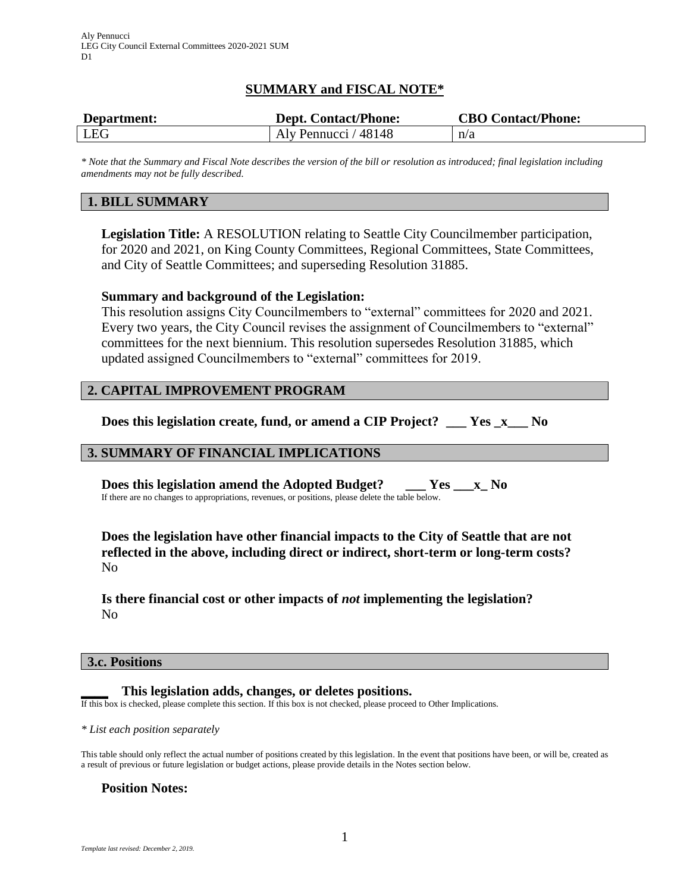# **SUMMARY and FISCAL NOTE\***

| Department: | <b>Dept. Contact/Phone:</b> | <b>CBO Contact/Phone:</b> |
|-------------|-----------------------------|---------------------------|
| LEG         | Aly Pennucci / 48148        | n/a                       |

*\* Note that the Summary and Fiscal Note describes the version of the bill or resolution as introduced; final legislation including amendments may not be fully described.*

# **1. BILL SUMMARY**

**Legislation Title:** A RESOLUTION relating to Seattle City Councilmember participation, for 2020 and 2021, on King County Committees, Regional Committees, State Committees, and City of Seattle Committees; and superseding Resolution 31885.

### **Summary and background of the Legislation:**

This resolution assigns City Councilmembers to "external" committees for 2020 and 2021. Every two years, the City Council revises the assignment of Councilmembers to "external" committees for the next biennium. This resolution supersedes Resolution 31885, which updated assigned Councilmembers to "external" committees for 2019.

## **2. CAPITAL IMPROVEMENT PROGRAM**

**Does this legislation create, fund, or amend a CIP Project? \_\_\_ Yes \_x\_\_\_ No**

## **3. SUMMARY OF FINANCIAL IMPLICATIONS**

**Does this legislation amend the Adopted Budget? \_\_\_ Yes \_\_\_x\_ No** If there are no changes to appropriations, revenues, or positions, please delete the table below.

**Does the legislation have other financial impacts to the City of Seattle that are not reflected in the above, including direct or indirect, short-term or long-term costs?** No

**Is there financial cost or other impacts of** *not* **implementing the legislation?** No

### **3.c. Positions**

**\_\_\_\_ This legislation adds, changes, or deletes positions.**

If this box is checked, please complete this section. If this box is not checked, please proceed to Other Implications.

*\* List each position separately*

This table should only reflect the actual number of positions created by this legislation. In the event that positions have been, or will be, created as a result of previous or future legislation or budget actions, please provide details in the Notes section below.

### **Position Notes:**